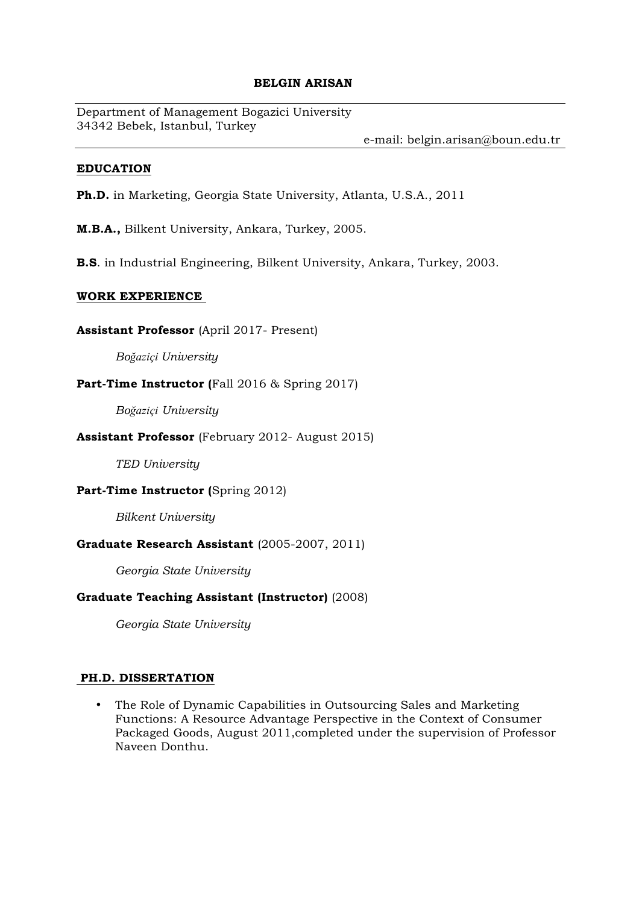#### **BELGIN ARISAN**

Department of Management Bogazici University 34342 Bebek, Istanbul, Turkey

e-mail: belgin.arisan@boun.edu.tr

#### **EDUCATION**

**Ph.D.** in Marketing, Georgia State University, Atlanta, U.S.A., 2011

**M.B.A.,** Bilkent University, Ankara, Turkey, 2005.

**B.S**. in Industrial Engineering, Bilkent University, Ankara, Turkey, 2003.

#### **WORK EXPERIENCE**

**Assistant Professor** (April 2017- Present)

*Boğaziçi University* 

## **Part-Time Instructor (**Fall 2016 & Spring 2017)

*Boğaziçi University*

#### **Assistant Professor** (February 2012- August 2015)

*TED University* 

#### **Part-Time Instructor (Spring 2012)**

*Bilkent University*

## **Graduate Research Assistant** (2005-2007, 2011)

*Georgia State University* 

## **Graduate Teaching Assistant (Instructor)** (2008)

*Georgia State University* 

## **PH.D. DISSERTATION**

• The Role of Dynamic Capabilities in Outsourcing Sales and Marketing Functions: A Resource Advantage Perspective in the Context of Consumer Packaged Goods, August 2011,completed under the supervision of Professor Naveen Donthu.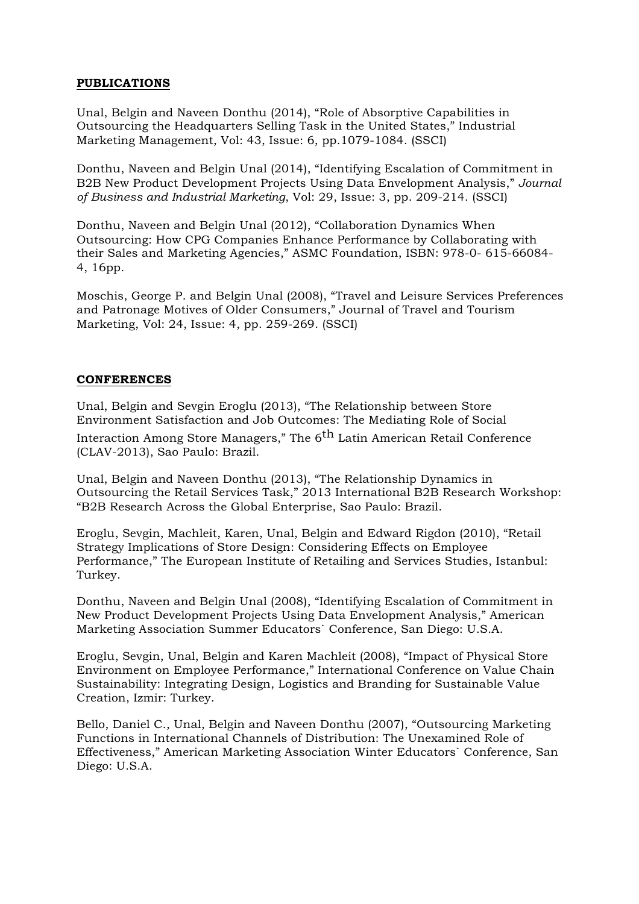#### **PUBLICATIONS**

Unal, Belgin and Naveen Donthu (2014), "Role of Absorptive Capabilities in Outsourcing the Headquarters Selling Task in the United States," Industrial Marketing Management, Vol: 43, Issue: 6, pp.1079-1084. (SSCI)

Donthu, Naveen and Belgin Unal (2014), "Identifying Escalation of Commitment in B2B New Product Development Projects Using Data Envelopment Analysis," *Journal of Business and Industrial Marketing*, Vol: 29, Issue: 3, pp. 209-214. (SSCI)

Donthu, Naveen and Belgin Unal (2012), "Collaboration Dynamics When Outsourcing: How CPG Companies Enhance Performance by Collaborating with their Sales and Marketing Agencies," ASMC Foundation, ISBN: 978-0- 615-66084- 4, 16pp.

Moschis, George P. and Belgin Unal (2008), "Travel and Leisure Services Preferences and Patronage Motives of Older Consumers," Journal of Travel and Tourism Marketing, Vol: 24, Issue: 4, pp. 259-269. (SSCI)

#### **CONFERENCES**

Unal, Belgin and Sevgin Eroglu (2013), "The Relationship between Store Environment Satisfaction and Job Outcomes: The Mediating Role of Social Interaction Among Store Managers," The 6<sup>th</sup> Latin American Retail Conference (CLAV-2013), Sao Paulo: Brazil.

Unal, Belgin and Naveen Donthu (2013), "The Relationship Dynamics in Outsourcing the Retail Services Task," 2013 International B2B Research Workshop: "B2B Research Across the Global Enterprise, Sao Paulo: Brazil.

Eroglu, Sevgin, Machleit, Karen, Unal, Belgin and Edward Rigdon (2010), "Retail Strategy Implications of Store Design: Considering Effects on Employee Performance," The European Institute of Retailing and Services Studies, Istanbul: Turkey.

Donthu, Naveen and Belgin Unal (2008), "Identifying Escalation of Commitment in New Product Development Projects Using Data Envelopment Analysis," American Marketing Association Summer Educators` Conference, San Diego: U.S.A.

Eroglu, Sevgin, Unal, Belgin and Karen Machleit (2008), "Impact of Physical Store Environment on Employee Performance," International Conference on Value Chain Sustainability: Integrating Design, Logistics and Branding for Sustainable Value Creation, Izmir: Turkey.

Bello, Daniel C., Unal, Belgin and Naveen Donthu (2007), "Outsourcing Marketing Functions in International Channels of Distribution: The Unexamined Role of Effectiveness," American Marketing Association Winter Educators` Conference, San Diego: U.S.A.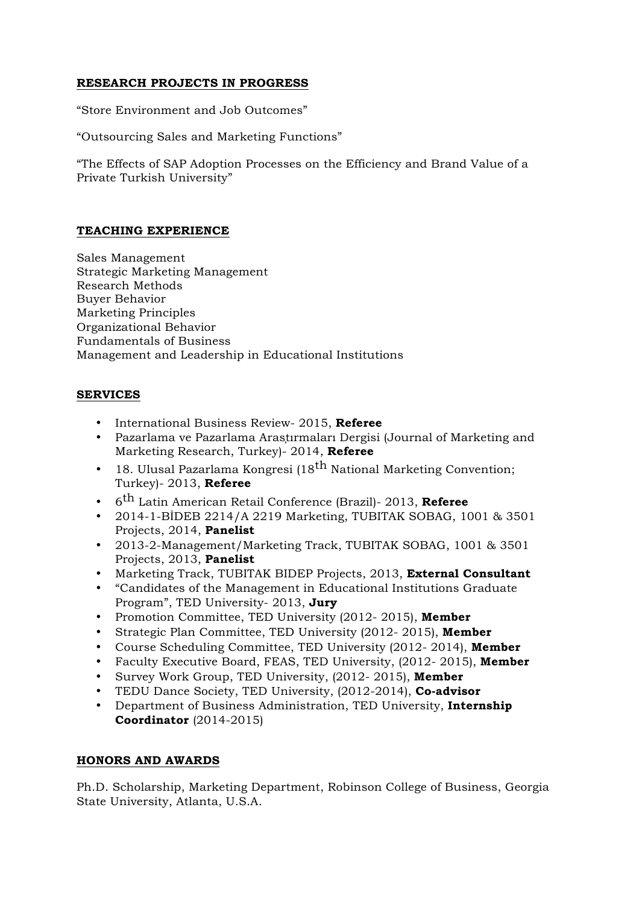## **RESEARCH PROJECTS IN PROGRESS**

"Store Environment and Job Outcomes"

"Outsourcing Sales and Marketing Functions"

"The Effects of SAP Adoption Processes on the Efficiency and Brand Value of a Private Turkish University"

## **TEACHING EXPERIENCE**

Sales Management Strategic Marketing Management Research Methods Buyer Behavior Marketing Principles Organizational Behavior Fundamentals of Business Management and Leadership in Educational Institutions

## **SERVICES**

- International Business Review- 2015, **Referee**
- Pazarlama ve Pazarlama Araştırmaları Dergisi (Journal of Marketing and Marketing Research, Turkey)- 2014, **Referee**
- 18. Ulusal Pazarlama Kongresi (18<sup>th</sup> National Marketing Convention; Turkey)- 2013, **Referee**
- <sup>6</sup>th Latin American Retail Conference (Brazil)- 2013, **Referee**
- 2014-1-BİDEB 2214/A 2219 Marketing, TUBITAK SOBAG, 1001 & 3501 Projects, 2014, **Panelist**
- 2013-2-Management/Marketing Track, TUBITAK SOBAG, 1001 & 3501 Projects, 2013, **Panelist**
- Marketing Track, TUBITAK BIDEP Projects, 2013, **External Consultant**
- "Candidates of the Management in Educational Institutions Graduate Program", TED University- 2013, **Jury**
- Promotion Committee, TED University (2012- 2015), **Member**
- Strategic Plan Committee, TED University (2012- 2015), **Member**
- Course Scheduling Committee, TED University (2012- 2014), **Member**
- Faculty Executive Board, FEAS, TED University, (2012- 2015), **Member**
- Survey Work Group, TED University, (2012- 2015), **Member**
- TEDU Dance Society, TED University, (2012-2014), **Co-advisor**
- Department of Business Administration, TED University, **Internship Coordinator** (2014-2015)

## **HONORS AND AWARDS**

Ph.D. Scholarship, Marketing Department, Robinson College of Business, Georgia State University, Atlanta, U.S.A.